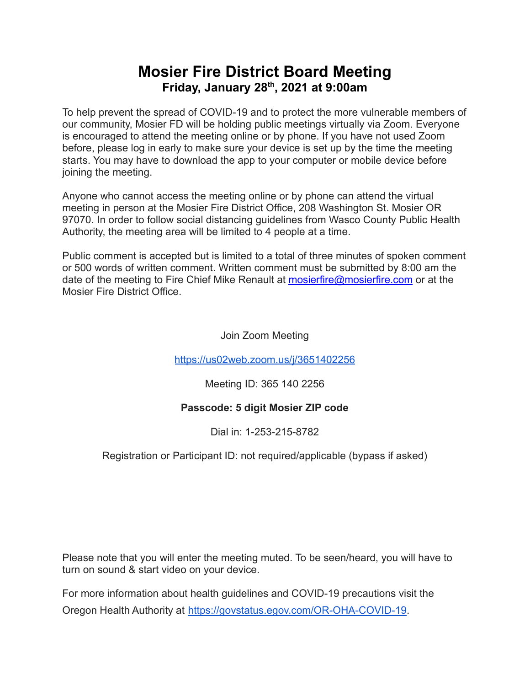## **Mosier Fire District Board Meeting Friday, January 28 th , 2021 at 9:00am**

To help prevent the spread of COVID-19 and to protect the more vulnerable members of our community, Mosier FD will be holding public meetings virtually via Zoom. Everyone is encouraged to attend the meeting online or by phone. If you have not used Zoom before, please log in early to make sure your device is set up by the time the meeting starts. You may have to download the app to your computer or mobile device before joining the meeting.

Anyone who cannot access the meeting online or by phone can attend the virtual meeting in person at the Mosier Fire District Office, 208 Washington St. Mosier OR 97070. In order to follow social distancing guidelines from Wasco County Public Health Authority, the meeting area will be limited to 4 people at a time.

Public comment is accepted but is limited to a total of three minutes of spoken comment or 500 words of written comment. Written comment must be submitted by 8:00 am the date of the meeting to Fire Chief Mike Renault at [mosierfire@mosierfire.com](mailto:mosierfire@mosierfire.com) or at the Mosier Fire District Office.

Join Zoom Meeting

<https://us02web.zoom.us/j/3651402256>

Meeting ID: 365 140 2256

### **Passcode: 5 digit Mosier ZIP code**

Dial in: 1-253-215-8782

### Registration or Participant ID: not required/applicable (bypass if asked)

Please note that you will enter the meeting muted. To be seen/heard, you will have to turn on sound & start video on your device.

For more information about health guidelines and COVID-19 precautions visit the Oregon Health Authority at [https://govstatus.egov.com/OR-OHA-COVID-19.](https://govstatus.egov.com/OR-OHA-COVID-19)